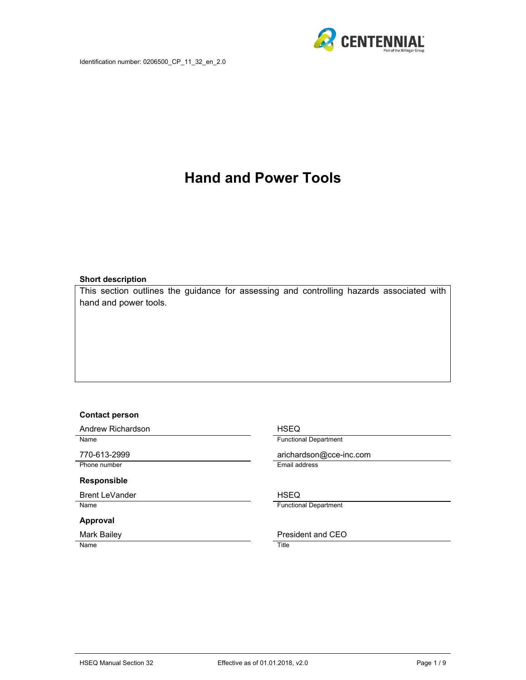

# **Hand and Power Tools**

#### **Short description**

This section outlines the guidance for assessing and controlling hazards associated with hand and power tools.

#### **Contact person**

Andrew Richardson **HSEQ** 

Phone number **Email address** 

#### **Responsible**

Brent LeVander **HSEQ** Name **Functional Department** 

#### **Approval**

Name Title

Name Functional Department

770-613-2999 arichardson@cce-inc.com

#### Mark Bailey **President and CEO**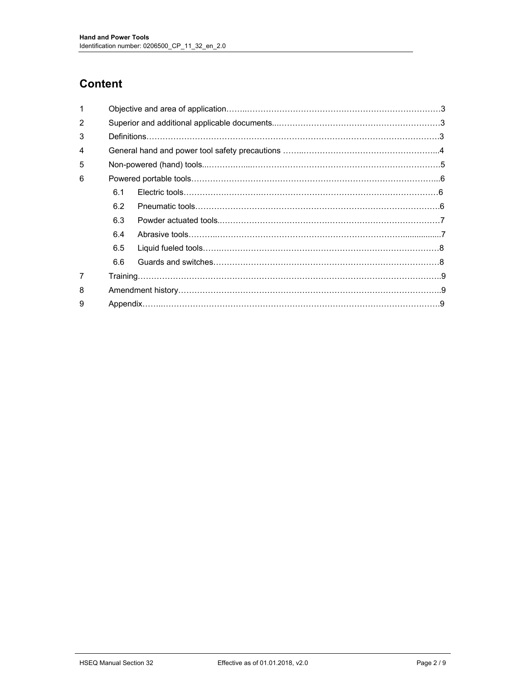# **Content**

| 1             |     |  |  |  |  |
|---------------|-----|--|--|--|--|
| $\mathcal{P}$ |     |  |  |  |  |
| 3             |     |  |  |  |  |
| 4             |     |  |  |  |  |
| 5             |     |  |  |  |  |
| 6             |     |  |  |  |  |
|               | 6.1 |  |  |  |  |
|               | 6.2 |  |  |  |  |
|               | 6.3 |  |  |  |  |
|               | 6.4 |  |  |  |  |
|               | 6.5 |  |  |  |  |
|               | 6.6 |  |  |  |  |
| 7             |     |  |  |  |  |
| 8             |     |  |  |  |  |
| 9             |     |  |  |  |  |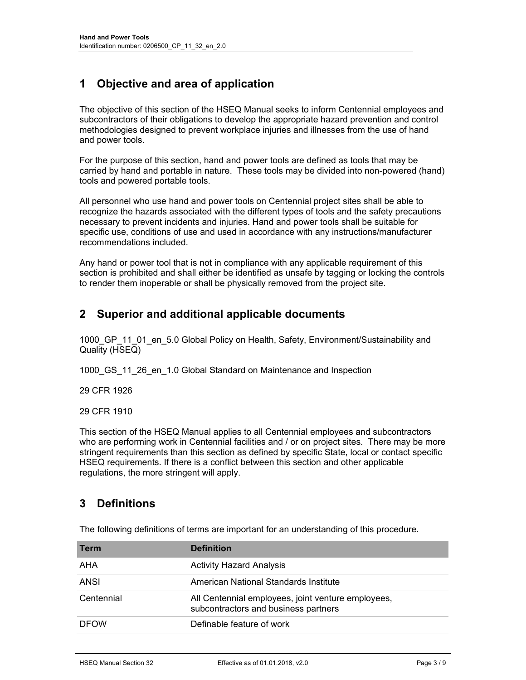# **1 Objective and area of application**

The objective of this section of the HSEQ Manual seeks to inform Centennial employees and subcontractors of their obligations to develop the appropriate hazard prevention and control methodologies designed to prevent workplace injuries and illnesses from the use of hand and power tools.

For the purpose of this section, hand and power tools are defined as tools that may be carried by hand and portable in nature. These tools may be divided into non-powered (hand) tools and powered portable tools.

All personnel who use hand and power tools on Centennial project sites shall be able to recognize the hazards associated with the different types of tools and the safety precautions necessary to prevent incidents and injuries. Hand and power tools shall be suitable for specific use, conditions of use and used in accordance with any instructions/manufacturer recommendations included.

Any hand or power tool that is not in compliance with any applicable requirement of this section is prohibited and shall either be identified as unsafe by tagging or locking the controls to render them inoperable or shall be physically removed from the project site.

### **2 Superior and additional applicable documents**

1000 GP 11 01 en 5.0 Global Policy on Health, Safety, Environment/Sustainability and Quality (HSEQ)

1000\_GS\_11\_26\_en\_1.0 Global Standard on Maintenance and Inspection

29 CFR 1926

#### 29 CFR 1910

This section of the HSEQ Manual applies to all Centennial employees and subcontractors who are performing work in Centennial facilities and / or on project sites. There may be more stringent requirements than this section as defined by specific State, local or contact specific HSEQ requirements. If there is a conflict between this section and other applicable regulations, the more stringent will apply.

### **3 Definitions**

The following definitions of terms are important for an understanding of this procedure.

| <b>Term</b> | <b>Definition</b>                                                                          |
|-------------|--------------------------------------------------------------------------------------------|
| AHA         | <b>Activity Hazard Analysis</b>                                                            |
| ANSI        | American National Standards Institute                                                      |
| Centennial  | All Centennial employees, joint venture employees,<br>subcontractors and business partners |
| <b>DFOW</b> | Definable feature of work                                                                  |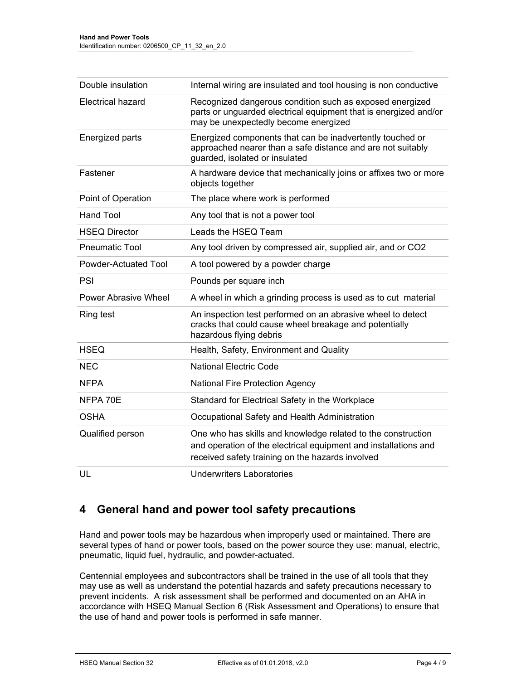| Double insulation           | Internal wiring are insulated and tool housing is non conductive                                                                                                                    |
|-----------------------------|-------------------------------------------------------------------------------------------------------------------------------------------------------------------------------------|
| <b>Electrical hazard</b>    | Recognized dangerous condition such as exposed energized<br>parts or unguarded electrical equipment that is energized and/or<br>may be unexpectedly become energized                |
| <b>Energized parts</b>      | Energized components that can be inadvertently touched or<br>approached nearer than a safe distance and are not suitably<br>guarded, isolated or insulated                          |
| Fastener                    | A hardware device that mechanically joins or affixes two or more<br>objects together                                                                                                |
| Point of Operation          | The place where work is performed                                                                                                                                                   |
| <b>Hand Tool</b>            | Any tool that is not a power tool                                                                                                                                                   |
| <b>HSEQ Director</b>        | Leads the HSEQ Team                                                                                                                                                                 |
| <b>Pneumatic Tool</b>       | Any tool driven by compressed air, supplied air, and or CO2                                                                                                                         |
| <b>Powder-Actuated Tool</b> | A tool powered by a powder charge                                                                                                                                                   |
| <b>PSI</b>                  | Pounds per square inch                                                                                                                                                              |
| <b>Power Abrasive Wheel</b> | A wheel in which a grinding process is used as to cut material                                                                                                                      |
| <b>Ring test</b>            | An inspection test performed on an abrasive wheel to detect<br>cracks that could cause wheel breakage and potentially<br>hazardous flying debris                                    |
| <b>HSEQ</b>                 | Health, Safety, Environment and Quality                                                                                                                                             |
| <b>NEC</b>                  | <b>National Electric Code</b>                                                                                                                                                       |
| <b>NFPA</b>                 | <b>National Fire Protection Agency</b>                                                                                                                                              |
| NFPA 70E                    | Standard for Electrical Safety in the Workplace                                                                                                                                     |
| OSHA                        | Occupational Safety and Health Administration                                                                                                                                       |
| Qualified person            | One who has skills and knowledge related to the construction<br>and operation of the electrical equipment and installations and<br>received safety training on the hazards involved |
| UL                          | <b>Underwriters Laboratories</b>                                                                                                                                                    |

## **4 General hand and power tool safety precautions**

Hand and power tools may be hazardous when improperly used or maintained. There are several types of hand or power tools, based on the power source they use: manual, electric, pneumatic, liquid fuel, hydraulic, and powder-actuated.

Centennial employees and subcontractors shall be trained in the use of all tools that they may use as well as understand the potential hazards and safety precautions necessary to prevent incidents. A risk assessment shall be performed and documented on an AHA in accordance with HSEQ Manual Section 6 (Risk Assessment and Operations) to ensure that the use of hand and power tools is performed in safe manner.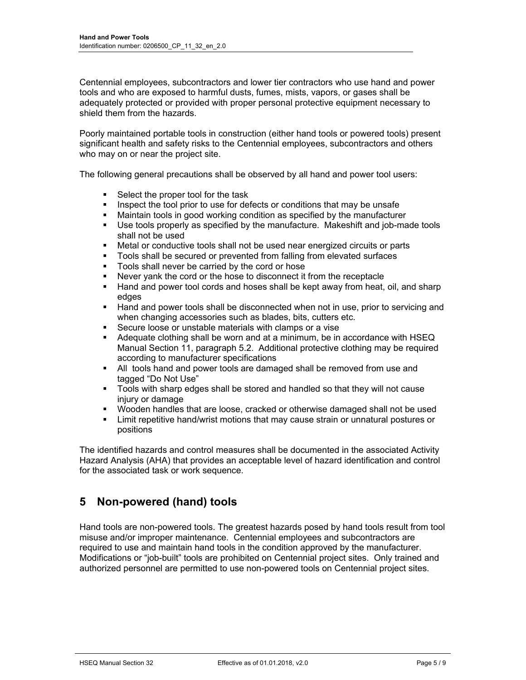Centennial employees, subcontractors and lower tier contractors who use hand and power tools and who are exposed to harmful dusts, fumes, mists, vapors, or gases shall be adequately protected or provided with proper personal protective equipment necessary to shield them from the hazards.

Poorly maintained portable tools in construction (either hand tools or powered tools) present significant health and safety risks to the Centennial employees, subcontractors and others who may on or near the project site.

The following general precautions shall be observed by all hand and power tool users:

- Select the proper tool for the task
- Inspect the tool prior to use for defects or conditions that may be unsafe
- Maintain tools in good working condition as specified by the manufacturer
- Use tools properly as specified by the manufacture. Makeshift and job-made tools shall not be used
- Metal or conductive tools shall not be used near energized circuits or parts
- Tools shall be secured or prevented from falling from elevated surfaces
- Tools shall never be carried by the cord or hose
- Never yank the cord or the hose to disconnect it from the receptacle
- **Hand and power tool cords and hoses shall be kept away from heat, oil, and sharp** edges
- **Hand and power tools shall be disconnected when not in use, prior to servicing and** when changing accessories such as blades, bits, cutters etc.
- Secure loose or unstable materials with clamps or a vise
- Adequate clothing shall be worn and at a minimum, be in accordance with HSEQ Manual Section 11, paragraph 5.2. Additional protective clothing may be required according to manufacturer specifications
- All tools hand and power tools are damaged shall be removed from use and tagged "Do Not Use"
- Tools with sharp edges shall be stored and handled so that they will not cause injury or damage
- Wooden handles that are loose, cracked or otherwise damaged shall not be used
- Limit repetitive hand/wrist motions that may cause strain or unnatural postures or positions

The identified hazards and control measures shall be documented in the associated Activity Hazard Analysis (AHA) that provides an acceptable level of hazard identification and control for the associated task or work sequence.

## **5 Non-powered (hand) tools**

Hand tools are non-powered tools. The greatest hazards posed by hand tools result from tool misuse and/or improper maintenance. Centennial employees and subcontractors are required to use and maintain hand tools in the condition approved by the manufacturer. Modifications or "job-built" tools are prohibited on Centennial project sites. Only trained and authorized personnel are permitted to use non-powered tools on Centennial project sites.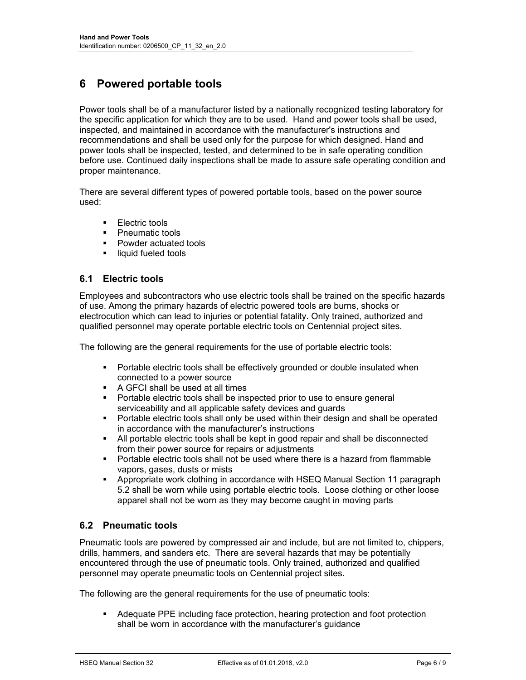# **6 Powered portable tools**

Power tools shall be of a manufacturer listed by a nationally recognized testing laboratory for the specific application for which they are to be used. Hand and power tools shall be used, inspected, and maintained in accordance with the manufacturer's instructions and recommendations and shall be used only for the purpose for which designed. Hand and power tools shall be inspected, tested, and determined to be in safe operating condition before use. Continued daily inspections shall be made to assure safe operating condition and proper maintenance.

There are several different types of powered portable tools, based on the power source used:

- **Electric tools**
- Pneumatic tools
- **Powder actuated tools**
- **I** liquid fueled tools

### **6.1 Electric tools**

Employees and subcontractors who use electric tools shall be trained on the specific hazards of use. Among the primary hazards of electric powered tools are burns, shocks or electrocution which can lead to injuries or potential fatality. Only trained, authorized and qualified personnel may operate portable electric tools on Centennial project sites.

The following are the general requirements for the use of portable electric tools:

- **Portable electric tools shall be effectively grounded or double insulated when** connected to a power source
- **A GFCI shall be used at all times**
- Portable electric tools shall be inspected prior to use to ensure general serviceability and all applicable safety devices and guards
- **Portable electric tools shall only be used within their design and shall be operated** in accordance with the manufacturer's instructions
- All portable electric tools shall be kept in good repair and shall be disconnected from their power source for repairs or adjustments
- **Portable electric tools shall not be used where there is a hazard from flammable** vapors, gases, dusts or mists
- Appropriate work clothing in accordance with HSEQ Manual Section 11 paragraph 5.2 shall be worn while using portable electric tools. Loose clothing or other loose apparel shall not be worn as they may become caught in moving parts

#### **6.2 Pneumatic tools**

Pneumatic tools are powered by compressed air and include, but are not limited to, chippers, drills, hammers, and sanders etc. There are several hazards that may be potentially encountered through the use of pneumatic tools. Only trained, authorized and qualified personnel may operate pneumatic tools on Centennial project sites.

The following are the general requirements for the use of pneumatic tools:

 Adequate PPE including face protection, hearing protection and foot protection shall be worn in accordance with the manufacturer's guidance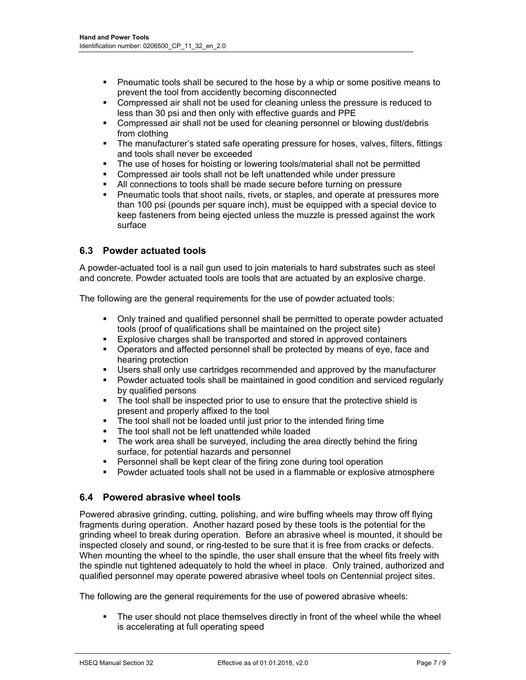- **Pheumatic tools shall be secured to the hose by a whip or some positive means to** prevent the tool from accidently becoming disconnected
- Compressed air shall not be used for cleaning unless the pressure is reduced to less than 30 psi and then only with effective guards and PPE
- Compressed air shall not be used for cleaning personnel or blowing dust/debris from clothing
- The manufacturer's stated safe operating pressure for hoses, valves, filters, fittings and tools shall never be exceeded
- The use of hoses for hoisting or lowering tools/material shall not be permitted
- Compressed air tools shall not be left unattended while under pressure
- All connections to tools shall be made secure before turning on pressure
- Pneumatic tools that shoot nails, rivets, or staples, and operate at pressures more than 100 psi (pounds per square inch), must be equipped with a special device to keep fasteners from being ejected unless the muzzle is pressed against the work surface

#### **6.3 Powder actuated tools**

A powder-actuated tool is a nail gun used to join materials to hard substrates such as steel and concrete. Powder actuated tools are tools that are actuated by an explosive charge.

The following are the general requirements for the use of powder actuated tools:

- Only trained and qualified personnel shall be permitted to operate powder actuated tools (proof of qualifications shall be maintained on the project site)
- Explosive charges shall be transported and stored in approved containers
- Operators and affected personnel shall be protected by means of eye, face and hearing protection
- Users shall only use cartridges recommended and approved by the manufacturer
- Powder actuated tools shall be maintained in good condition and serviced regularly by qualified persons
- The tool shall be inspected prior to use to ensure that the protective shield is present and properly affixed to the tool
- The tool shall not be loaded until just prior to the intended firing time
- The tool shall not be left unattended while loaded
- The work area shall be surveyed, including the area directly behind the firing surface, for potential hazards and personnel
- **Personnel shall be kept clear of the firing zone during tool operation**
- **Powder actuated tools shall not be used in a flammable or explosive atmosphere**

#### **6.4 Powered abrasive wheel tools**

Powered abrasive grinding, cutting, polishing, and wire buffing wheels may throw off flying fragments during operation. Another hazard posed by these tools is the potential for the grinding wheel to break during operation. Before an abrasive wheel is mounted, it should be inspected closely and sound, or ring-tested to be sure that it is free from cracks or defects. When mounting the wheel to the spindle, the user shall ensure that the wheel fits freely with the spindle nut tightened adequately to hold the wheel in place. Only trained, authorized and qualified personnel may operate powered abrasive wheel tools on Centennial project sites.

The following are the general requirements for the use of powered abrasive wheels:

 The user should not place themselves directly in front of the wheel while the wheel is accelerating at full operating speed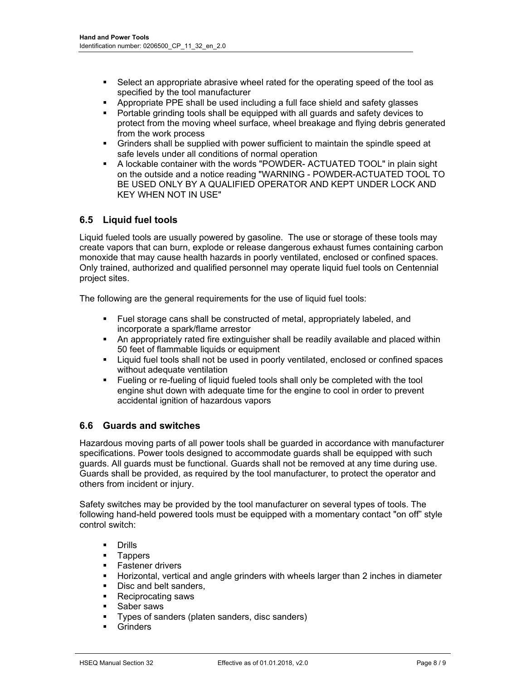- Select an appropriate abrasive wheel rated for the operating speed of the tool as specified by the tool manufacturer
- Appropriate PPE shall be used including a full face shield and safety glasses
- **Portable grinding tools shall be equipped with all guards and safety devices to** protect from the moving wheel surface, wheel breakage and flying debris generated from the work process
- Grinders shall be supplied with power sufficient to maintain the spindle speed at safe levels under all conditions of normal operation
- A lockable container with the words "POWDER- ACTUATED TOOL" in plain sight on the outside and a notice reading "WARNING - POWDER-ACTUATED TOOL TO BE USED ONLY BY A QUALIFIED OPERATOR AND KEPT UNDER LOCK AND KEY WHEN NOT IN USE"

### **6.5 Liquid fuel tools**

Liquid fueled tools are usually powered by gasoline. The use or storage of these tools may create vapors that can burn, explode or release dangerous exhaust fumes containing carbon monoxide that may cause health hazards in poorly ventilated, enclosed or confined spaces. Only trained, authorized and qualified personnel may operate liquid fuel tools on Centennial project sites.

The following are the general requirements for the use of liquid fuel tools:

- Fuel storage cans shall be constructed of metal, appropriately labeled, and incorporate a spark/flame arrestor
- An appropriately rated fire extinguisher shall be readily available and placed within 50 feet of flammable liquids or equipment
- Liquid fuel tools shall not be used in poorly ventilated, enclosed or confined spaces without adequate ventilation
- Fueling or re-fueling of liquid fueled tools shall only be completed with the tool engine shut down with adequate time for the engine to cool in order to prevent accidental ignition of hazardous vapors

#### **6.6 Guards and switches**

Hazardous moving parts of all power tools shall be guarded in accordance with manufacturer specifications. Power tools designed to accommodate guards shall be equipped with such guards. All guards must be functional. Guards shall not be removed at any time during use. Guards shall be provided, as required by the tool manufacturer, to protect the operator and others from incident or injury.

Safety switches may be provided by the tool manufacturer on several types of tools. The following hand-held powered tools must be equipped with a momentary contact "on off" style control switch:

- Drills
- **Tappers**
- **Fastener drivers**
- **Horizontal, vertical and angle grinders with wheels larger than 2 inches in diameter**
- Disc and belt sanders,
- Reciprocating saws
- **Saber saws**
- Types of sanders (platen sanders, disc sanders)
- **Grinders**